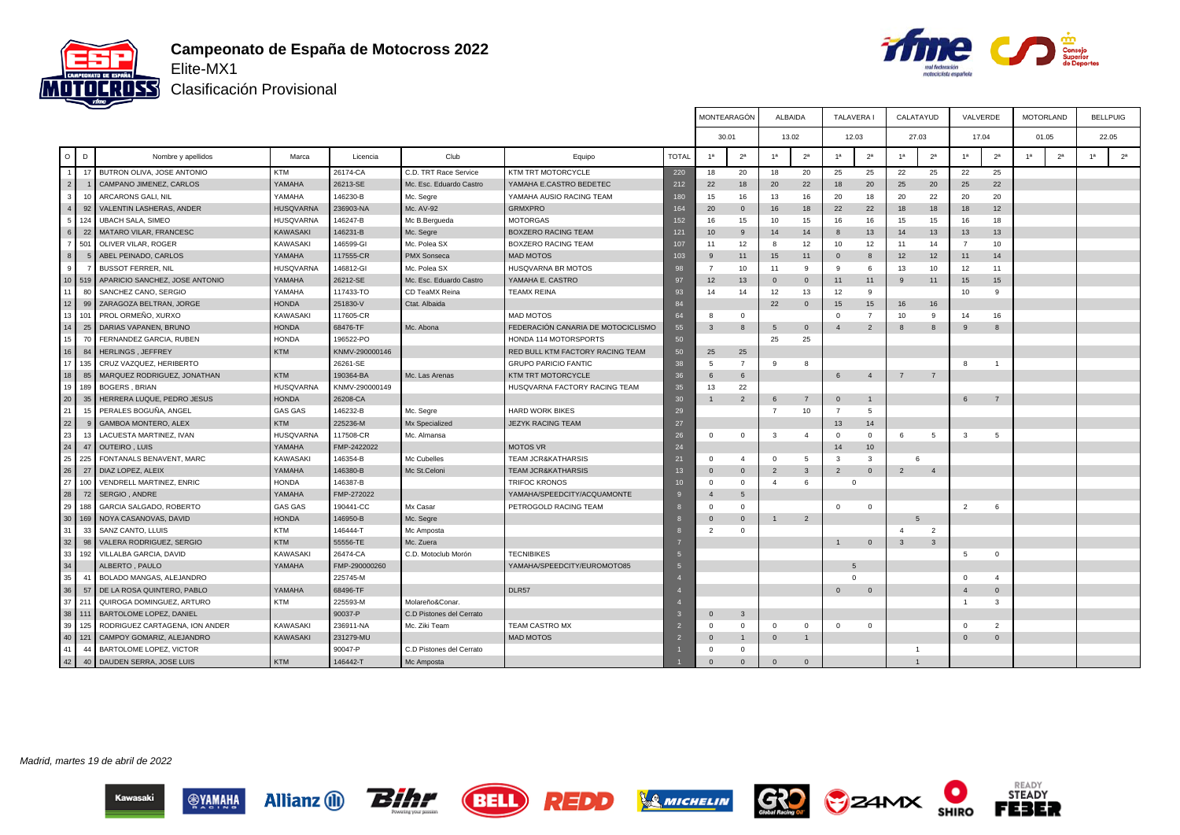



Clasificación Provisional

|                 |        |                                               |                  |                |                          |                                    |                  | MONTEARAGÓN                   |                 | ALBAIDA        |                         | <b>TALAVERA</b> |                | CALATAYUD       |                | VALVERDE       |                | <b>MOTORLAND</b> | <b>BELLPUIG</b> |                |
|-----------------|--------|-----------------------------------------------|------------------|----------------|--------------------------|------------------------------------|------------------|-------------------------------|-----------------|----------------|-------------------------|-----------------|----------------|-----------------|----------------|----------------|----------------|------------------|-----------------|----------------|
|                 |        |                                               |                  |                |                          |                                    |                  | 30.01                         |                 | 13.02          |                         |                 | 12.03          | 27.03           |                | 17.04          |                | 01.05            |                 | 22.05          |
| $\circ$         | D      | Nombre y apellidos                            | Marca            | Licencia       | Club                     | Equipo                             | <b>TOTAL</b>     | 1 <sup>a</sup>                | 2 <sup>a</sup>  | 1a             | 2 <sup>a</sup>          | 1 <sup>a</sup>  | 2 <sup>a</sup> | 1 <sup>a</sup>  | 2 <sup>a</sup> | 1 <sup>a</sup> | 2 <sup>a</sup> | 2 <sup>a</sup>   | 1 <sup>a</sup>  | 2 <sup>a</sup> |
|                 | 17     | BUTRON OLIVA, JOSE ANTONIO                    | <b>KTM</b>       | 26174-CA       | C.D. TRT Race Service    | KTM TRT MOTORCYCLE                 | 220              | 18                            | 20              | 18             | 20                      | 25              | 25             | 22              | 25             | 22             | 25             |                  |                 |                |
| 2               |        | CAMPANO JIMENEZ, CARLOS                       | YAMAHA           | 26213-SE       | Mc. Esc. Eduardo Castro  | YAMAHA E.CASTRO BEDETEC            | 212              | 22                            | 18              | 20             | 22                      | 18              | 20             | 25              | 20             | 25             | 22             |                  |                 |                |
| 3 <sup>1</sup>  | 10     | ARCARONS GALI, NIL                            | YAMAHA           | 146230-B       | Mc. Segre                | YAMAHA AUSIO RACING TEAM           | 180              | 15                            | 16              | 13             | 16                      | 20              | 18             | 20              | 22             | 20             | 20             |                  |                 |                |
| $\overline{4}$  | 92     | VALENTIN LASHERAS, ANDER                      | HUSQVARNA        | 236903-NA      | Mc. AV-92                | <b>GRMXPRO</b>                     | 164              | 20                            | $\mathbf{0}$    | 16             | 18                      | 22              | 22             | 18              | 18             | 18             | 12             |                  |                 |                |
| 5 <sub>1</sub>  | 124    | <b>UBACH SALA, SIMEO</b>                      | HUSQVARNA        | 146247-B       | Mc B.Bergueda            | <b>MOTORGAS</b>                    | 152              | 16                            | 15              | 10             | 15                      | 16              | 16             | 15              | 15             | 16             | 18             |                  |                 |                |
| $6 \mid$        | 22     | MATARO VILAR, FRANCESC                        | KAWASAKI         | 146231-B       | Mc. Segre                | <b>BOXZERO RACING TEAM</b>         | 121              | 10                            | 9               | 14             | 14                      | 8               | 13             | 14              | 13             | 13             | 13             |                  |                 |                |
|                 | 501    | OLIVER VILAR, ROGER                           | <b>KAWASAKI</b>  | 146599-GI      | Mc. Polea SX             | BOXZERO RACING TEAM                | 107              | 11                            | 12              | 8              | 12                      | 10              | 12             | 11              | 14             | $\overline{7}$ | 10             |                  |                 |                |
| 8 <sup>1</sup>  | 5      | ABEL PEINADO, CARLOS                          | YAMAHA           | 117555-CR      | PMX Sonseca              | <b>MAD MOTOS</b>                   | 103              | 9                             | 11              | 15             | 11                      | $\mathbf{0}$    | 8              | 12              | 12             | 11             | 14             |                  |                 |                |
| 9               |        | <b>BUSSOT FERRER, NIL</b>                     | <b>HUSQVARNA</b> | 146812-GI      | Mc. Polea SX             | HUSQVARNA BR MOTOS                 | 98               | $\overline{7}$                | 10              | 11             | -9                      | 9               | - 6            | 13              | 10             | 12             | 11             |                  |                 |                |
|                 | 10 519 | APARICIO SANCHEZ, JOSE ANTONIO                | YAMAHA           | 26212-SE       | Mc. Esc. Eduardo Castro  | YAMAHA E. CASTRO                   | 97               | 12                            | 13              | $\mathbf{0}$   | $\overline{0}$          | 11              | 11             | 9               | 11             | 15             | 15             |                  |                 |                |
| 11 <sup>1</sup> | 80     | SANCHEZ CANO, SERGIO                          | YAMAHA           | 117433-TO      | CD TeaMX Reina           | <b>TEAMX REINA</b>                 | 93               | 14                            | 14              | 12             | 13                      | 12              | -9             |                 |                | 10             | 9              |                  |                 |                |
| 12              | 99     | ZARAGOZA BELTRAN, JORGE                       | <b>HONDA</b>     | 251830-V       | Ctat. Albaida            |                                    | 84               |                               |                 | 22             | $\overline{0}$          | 15              | 15             | 16              | 16             |                |                |                  |                 |                |
| 13 <sup>1</sup> | 101    | PROL ORMEÑO, XURXO                            | KAWASAKI         | 117605-CR      |                          | <b>MAD MOTOS</b>                   | 64               | 8                             | $\mathbf{0}$    |                |                         | $\Omega$        | $\overline{7}$ | 10              | 9              | 14             | 16             |                  |                 |                |
| 14              | 25     | DARIAS VAPANEN, BRUNO                         | <b>HONDA</b>     | 68476-TF       | Mc. Abona                | FEDERACIÓN CANARIA DE MOTOCICLISMO | 55               | $\mathbf{3}$                  | 8               | 5              | $\overline{0}$          |                 | $\overline{2}$ | 8               | 8              | 9              | 8              |                  |                 |                |
| 15 <sup>1</sup> | 70     | FERNANDEZ GARCIA, RUBEN                       | <b>HONDA</b>     | 196522-PO      |                          | HONDA 114 MOTORSPORTS              | 50               |                               |                 | 25             | 25                      |                 |                |                 |                |                |                |                  |                 |                |
| 16              | 84     | HERLINGS, JEFFREY                             | <b>KTM</b>       | KNMV-290000146 |                          | RED BULL KTM FACTORY RACING TEAM   | 50               | 25                            | 25              |                |                         |                 |                |                 |                |                |                |                  |                 |                |
| 17 <sup>1</sup> | 135    | CRUZ VAZQUEZ, HERIBERTO                       |                  | 26261-SE       |                          | <b>GRUPO PARICIO FANTIC</b>        | 38               | 5                             | $\overline{7}$  | 9              | 8                       |                 |                |                 |                | -8             | $\overline{1}$ |                  |                 |                |
| 18              | 85     | MARQUEZ RODRIGUEZ, JONATHAN                   | <b>KTM</b>       | 190364-BA      | Mc. Las Arenas           | KTM TRT MOTORCYCLE                 | 36               | 6                             | 6               |                |                         | 6               | $\overline{4}$ | $7\overline{ }$ | $7\overline{}$ |                |                |                  |                 |                |
| 19 <sup>1</sup> | 189    | <b>BOGERS, BRIAN</b>                          | <b>HUSQVARNA</b> | KNMV-290000149 |                          | HUSQVARNA FACTORY RACING TEAM      | 35               | 13                            | 22              |                |                         |                 |                |                 |                |                |                |                  |                 |                |
| 20              | 35     | HERRERA LUQUE, PEDRO JESUS                    | <b>HONDA</b>     | 26208-CA       |                          |                                    | 30 <sup>°</sup>  |                               | $\overline{2}$  | 6              | $\overline{7}$          | $\mathbf 0$     | $\mathbf{1}$   |                 |                | 6              | $\overline{7}$ |                  |                 |                |
| 21              | 15     | PERALES BOGUÑA, ANGEL                         | <b>GAS GAS</b>   | 146232-B       | Mc. Segre                | <b>HARD WORK BIKES</b>             | 29               |                               |                 | $\overline{7}$ | 10                      | $\overline{7}$  | -5             |                 |                |                |                |                  |                 |                |
| 22              |        | GAMBOA MONTERO, ALEX                          | <b>KTM</b>       | 225236-M       | Mx Specialized           | <b>JEZYK RACING TEAM</b>           | 27               |                               |                 |                |                         | 13              | 14             |                 |                |                |                |                  |                 |                |
| 23              | 13     | LACUESTA MARTINEZ, IVAN                       | HUSQVARNA        | 117508-CR      | Mc. Almansa              |                                    | 26               | $\Omega$                      | $\mathbf 0$     | $\mathbf{3}$   | $\overline{4}$          | $\Omega$        | $^{\circ}$     | 6               | $\overline{5}$ | 3              | 5              |                  |                 |                |
| 24              | 47     | <b>OUTEIRO, LUIS</b>                          | YAMAHA           | FMP-2422022    |                          | <b>MOTOS VR</b>                    | 24               |                               |                 |                |                         | 14              | 10             |                 |                |                |                |                  |                 |                |
| 25              | 225    | FONTANALS BENAVENT, MARC                      | <b>KAWASAKI</b>  | 146354-B       | Mc Cubelles              | <b>TEAM JCR&amp;KATHARSIS</b>      | 21               | $\Omega$                      | $\overline{4}$  | $\Omega$       | 5                       | $\mathbf{3}$    | $\mathbf{3}$   | 6               |                |                |                |                  |                 |                |
| 26              | 27     | DIAZ LOPEZ, ALEIX                             | YAMAHA           | 146380-B       | Mc St.Celoni             | <b>TEAM JCR&amp;KATHARSIS</b>      | 13               | $\mathbf 0$                   | $\mathbf 0$     | $\overline{2}$ | $\overline{\mathbf{3}}$ | $\overline{2}$  | $\mathbf{0}$   | $\overline{2}$  | $\overline{4}$ |                |                |                  |                 |                |
| 27              | 100    | VENDRELL MARTINEZ, ENRIC                      | <b>HONDA</b>     | 146387-B       |                          | TRIFOC KRONOS                      | 10 <sup>10</sup> | $\Omega$                      | $\Omega$        | $\mathbf{4}$   | 6                       |                 | $\mathbf{0}$   |                 |                |                |                |                  |                 |                |
| 28              | 72     | SERGIO, ANDRE                                 | YAMAHA           | FMP-272022     |                          | YAMAHA/SPEEDCITY/ACQUAMONTE        |                  | $\overline{4}$                | $5\overline{5}$ |                |                         |                 |                |                 |                |                |                |                  |                 |                |
| 29              | 188    | GARCIA SALGADO, ROBERTO                       | GAS GAS          | 190441-CC      | Mx Casar                 | PETROGOLD RACING TEAM              |                  | $\Omega$                      | $\Omega$        |                |                         | $\Omega$        | $\Omega$       |                 |                | $\overline{2}$ | 6              |                  |                 |                |
| 30 <sup>1</sup> | 169    | NOYA CASANOVAS, DAVID                         | <b>HONDA</b>     |                |                          |                                    |                  |                               | $\mathbf{0}$    | $\overline{1}$ | 2                       |                 |                |                 |                |                |                |                  |                 |                |
| 31              | 33     |                                               | <b>KTM</b>       | 146950-B       | Mc. Segre                |                                    |                  | $\mathbf 0$<br>$\overline{2}$ | $\mathbf{0}$    |                |                         |                 |                |                 |                |                |                |                  |                 |                |
| 32              | 98     | SANZ CANTO, LLUIS<br>VALERA RODRIGUEZ, SERGIO | <b>KTM</b>       | 146444-T       | Mc Amposta               |                                    |                  |                               |                 |                |                         |                 |                |                 | $\overline{2}$ |                |                |                  |                 |                |
|                 |        |                                               |                  | 55556-TE       | Mc. Zuera                |                                    |                  |                               |                 |                |                         | 1               | $\overline{0}$ | $\mathbf{3}$    | $\mathbf{3}$   |                |                |                  |                 |                |
| 33<br>34        | 192    | VILLALBA GARCIA, DAVID                        | KAWASAKI         | 26474-CA       | C.D. Motoclub Morón      | <b>TECNIBIKES</b>                  | 5                |                               |                 |                |                         |                 |                |                 |                | 5              | $\mathbf 0$    |                  |                 |                |
|                 |        | ALBERTO, PAULO                                | YAMAHA           | FMP-290000260  |                          | YAMAHA/SPEEDCITY/EUROMOTO85        | 5                |                               |                 |                |                         | 5               |                |                 |                |                |                |                  |                 |                |
| 35              | 41     | BOLADO MANGAS, ALEJANDRO                      |                  | 225745-M       |                          |                                    |                  |                               |                 |                |                         | $\Omega$        |                |                 |                | $\Omega$       | $\overline{4}$ |                  |                 |                |
| 36              | 57     | DE LA ROSA QUINTERO, PABLO                    | YAMAHA           | 68496-TF       |                          | DLR57                              |                  |                               |                 |                |                         | $\Omega$        | $\overline{0}$ |                 |                | $\overline{4}$ | $\mathbf{0}$   |                  |                 |                |
|                 | 37 211 | QUIROGA DOMINGUEZ, ARTURO                     | <b>KTM</b>       | 225593-M       | Molareño&Conar.          |                                    |                  |                               |                 |                |                         |                 |                |                 |                | $\overline{1}$ | 3              |                  |                 |                |
| 38 111          |        | BARTOLOME LOPEZ, DANIEL                       |                  | 90037-P        | C.D Pistones del Cerrato |                                    |                  | $\Omega$                      | $\mathbf{3}$    |                |                         |                 |                |                 |                |                |                |                  |                 |                |
| 39              | 125    | RODRIGUEZ CARTAGENA, ION ANDER                | KAWASAKI         | 236911-NA      | Mc. Ziki Team            | TEAM CASTRO MX                     |                  | $\Omega$                      | $\Omega$        | $\Omega$       | $\mathbf 0$             | $\mathbf 0$     | $\Omega$       |                 |                | $\mathbf 0$    | $\overline{2}$ |                  |                 |                |
| 40 <sup>1</sup> | 121    | CAMPOY GOMARIZ, ALEJANDRO                     | <b>KAWASAKI</b>  | 231279-MU      |                          | <b>MAD MOTOS</b>                   |                  | $\Omega$                      | $\overline{1}$  | $\mathbf{0}$   | $\overline{1}$          |                 |                |                 |                | $\overline{0}$ | $\mathbf{0}$   |                  |                 |                |
| 41              | 44     | BARTOLOME LOPEZ, VICTOR                       |                  | 90047-P        | C.D Pistones del Cerrato |                                    |                  |                               | $\Omega$        |                |                         |                 |                | $\overline{1}$  |                |                |                |                  |                 |                |
| 42              | 40     | DAUDEN SERRA, JOSE LUIS                       | <b>KTM</b>       | 146442-T       | Mc Amposta               |                                    |                  | $\Omega$                      | $\Omega$        | $\Omega$       | $\Omega$                |                 |                |                 |                |                |                |                  |                 |                |

Madrid, martes 19 de abril de 2022













READY<br>STEADY

**FEBER**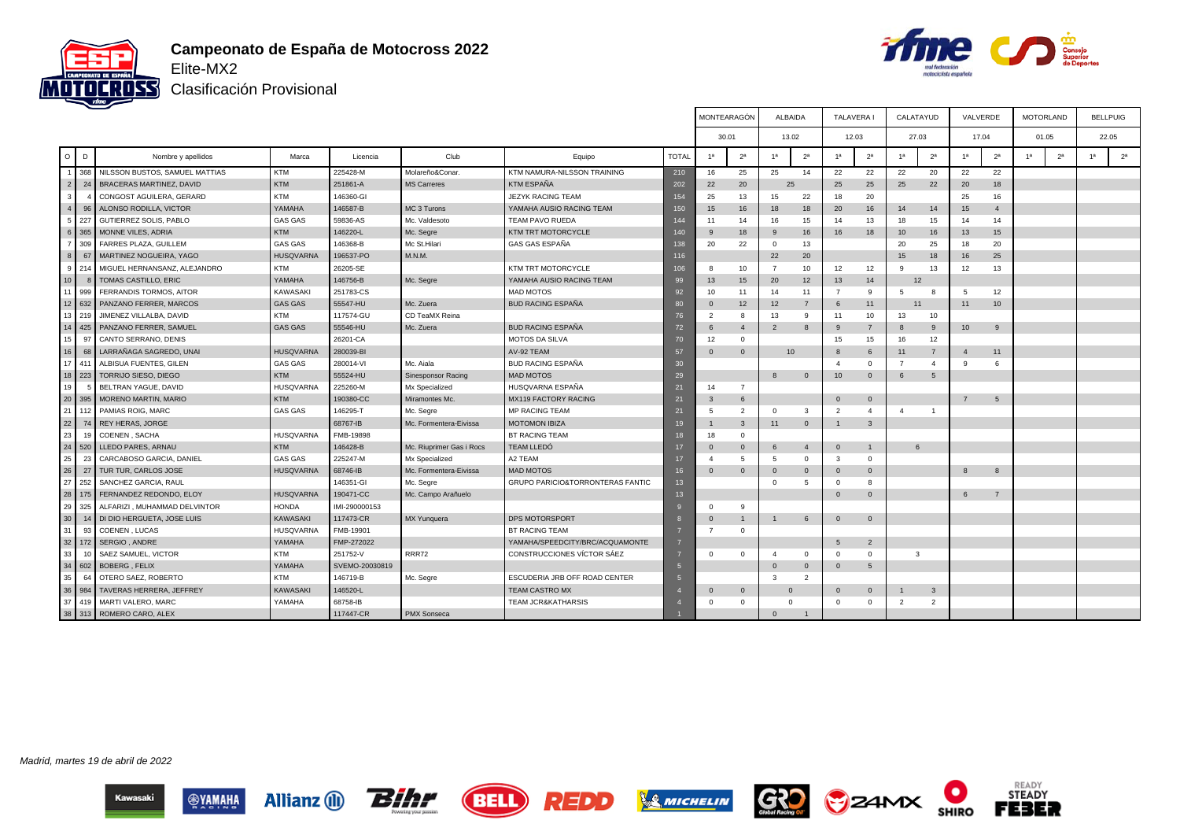



Clasificación Provisional

|                 |     |                                 |                  |                |                          |                                  |              | MONTEARAGÓN              |                | <b>ALBAIDA</b> |                | <b>TALAVERA I</b> |                         | CALATAYUD      |                | VALVERDE         |                |    | <b>MOTORLAND</b> |    | <b>BELLPUIG</b> |
|-----------------|-----|---------------------------------|------------------|----------------|--------------------------|----------------------------------|--------------|--------------------------|----------------|----------------|----------------|-------------------|-------------------------|----------------|----------------|------------------|----------------|----|------------------|----|-----------------|
|                 |     |                                 |                  |                |                          |                                  |              | 30.01                    |                | 13.02          |                |                   | 12.03                   | 27.03          |                | 17.04            |                |    | 01.05            |    | 22.05           |
| $\circ$         | D   | Nombre y apellidos              | Marca            | Licencia       | Club                     | Equipo                           | <b>TOTAL</b> | 1a                       | 2 <sup>a</sup> | 1 <sub>a</sub> | 2 <sup>a</sup> | 1 <sup>a</sup>    | 2 <sup>a</sup>          | 1 <sup>a</sup> | 2 <sup>a</sup> | 1 <sup>a</sup>   | 2 <sup>a</sup> | 1a | 2 <sup>a</sup>   | 1a | 2 <sup>a</sup>  |
|                 | 368 | NILSSON BUSTOS, SAMUEL MATTIAS  | <b>KTM</b>       | 225428-M       | Molareño&Conar           | KTM NAMURA-NILSSON TRAINING      | 210          | 16                       | 25             | 25             | 14             | 22                | 22                      | 22             | 20             | 22               | 22             |    |                  |    |                 |
| 2 <sup>1</sup>  | 24  | <b>BRACERAS MARTINEZ, DAVID</b> | KTM              | 251861-A       | <b>MS Carreres</b>       | <b>KTM ESPAÑA</b>                | 202          | 22                       | 20             | 25             |                | 25                | 25                      | 25             | 22             | 20               | 18             |    |                  |    |                 |
| 3 <sup>1</sup>  |     | CONGOST AGUILERA, GERARD        | <b>KTM</b>       | 146360-GI      |                          | JEZYK RACING TEAM                | 154          | 25                       | 13             | 15             | 22             | 18                | 20                      |                |                | 25               | 16             |    |                  |    |                 |
| $\overline{4}$  | 96  | ALONSO RODILLA, VICTOR          | YAMAHA           | 146587-B       | MC 3 Turons              | YAMAHA AUSIO RACING TEAM         | 150          | 15                       | 16             | 18             | 18             | 20                | 16                      | 14             | 14             | 15               | $\overline{4}$ |    |                  |    |                 |
| 5.              | 227 | GUTIERREZ SOLIS, PABLO          | <b>GAS GAS</b>   | 59836-AS       | Mc. Valdesoto            | TEAM PAVO RUEDA                  | 144          | 11                       | 14             | 16             | 15             | 14                | 13                      | 18             | 15             | 14               | 14             |    |                  |    |                 |
|                 | 365 | MONNE VILES, ADRIA              | <b>KTM</b>       | 146220-L       | Mc. Segre                | KTM TRT MOTORCYCLE               | 140          | 9                        | 18             | 9              | 16             | 16                | 18                      | 10             | 16             | 13               | 15             |    |                  |    |                 |
|                 | 309 | FARRES PLAZA, GUILLEM           | <b>GAS GAS</b>   | 146368-B       | Mc St.Hilari             | GAS GAS ESPAÑA                   | 138          | 20                       | 22             | $\Omega$       | 13             |                   |                         | 20             | 25             | 18               | 20             |    |                  |    |                 |
| 8               | 67  | MARTINEZ NOGUEIRA, YAGO         | <b>HUSQVARNA</b> | 196537-PO      | M.N.M.                   |                                  | 116          |                          |                | 22             | 20             |                   |                         | 15             | 18             | 16               | 25             |    |                  |    |                 |
| 9               | 214 | MIGUEL HERNANSANZ, ALEJANDRO    | <b>KTM</b>       | 26205-SE       |                          | KTM TRT MOTORCYCLE               | 106          | 8                        | 10             | $\overline{7}$ | 10             | 12                | 12                      | 9              | 13             | 12               | 13             |    |                  |    |                 |
| 10 <sup>1</sup> |     | TOMAS CASTILLO, ERIC            | YAMAHA           | 146756-B       | Mc. Segre                | YAMAHA AUSIO RACING TEAM         | 99           | 13                       | 15             | 20             | 12             | 13                | 14                      |                | 12             |                  |                |    |                  |    |                 |
| 11 <sup>1</sup> | 999 | FERRANDIS TORMOS, AITOR         | KAWASAKI         | 251783-CS      |                          | <b>MAD MOTOS</b>                 | 92           | 10                       | 11             | 14             | 11             | $\overline{7}$    | 9                       | 5              | 8              | 5                | 12             |    |                  |    |                 |
| 12              | 632 | PANZANO FERRER, MARCOS          | <b>GAS GAS</b>   | 55547-HU       | Mc. Zuera                | <b>BUD RACING ESPAÑA</b>         | 80           | $\mathbf 0$              | 12             | 12             | $\overline{7}$ | 6                 | 11                      |                | 11             | 11               | 10             |    |                  |    |                 |
| 13 <sup>1</sup> | 219 | JIMENEZ VILLALBA, DAVID         | <b>KTM</b>       | 117574-GU      | CD TeaMX Reina           |                                  | 76           | $\overline{\phantom{a}}$ | 8              | 13             | -9             | 11                | 10                      | 13             | 10             |                  |                |    |                  |    |                 |
| 14              | 425 | PANZANO FERRER, SAMUEL          | <b>GAS GAS</b>   | 55546-HU       | Mc. Zuera                | <b>BUD RACING ESPAÑA</b>         | 72           | 6                        | $\overline{4}$ | $\overline{2}$ | -8             | 9                 | $\overline{7}$          | -8             | 9              | 10 <sup>10</sup> | 9              |    |                  |    |                 |
| 15 <sup>1</sup> | 97  | CANTO SERRANO, DENIS            |                  | 26201-CA       |                          | <b>MOTOS DA SILVA</b>            | 70           | 12                       | $^{\circ}$     |                |                | 15                | 15                      | 16             | 12             |                  |                |    |                  |    |                 |
| 16              | 68  | LARRAÑAGA SAGREDO, UNAI         | HUSQVARNA        | 280039-BI      |                          | AV-92 TEAM                       | 57           | $\Omega$                 | $\Omega$       | 10             |                | $\mathbf{8}$      | 6                       | 11             | $\overline{7}$ | $\overline{4}$   | 11             |    |                  |    |                 |
| 17 <sup>1</sup> | 411 | ALBISUA FUENTES, GILEN          | <b>GAS GAS</b>   | 280014-VI      | Mc. Aiala                | <b>BUD RACING ESPAÑA</b>         | 30           |                          |                |                |                | $\overline{4}$    | $\Omega$                | $\overline{7}$ | $\overline{4}$ | 9                | 6              |    |                  |    |                 |
| 18 223          |     | TORRIJO SIESO, DIEGO            | KTM              | 55524-HU       | Sinesponsor Racing       | <b>MAD MOTOS</b>                 | 29           |                          |                | $\mathbf{8}$   | $\Omega$       | 10                | $\overline{0}$          | 6              | 5              |                  |                |    |                  |    |                 |
| 19              |     | BELTRAN YAGUE, DAVID            | <b>HUSQVARNA</b> | 225260-M       | Mx Specialized           | HUSQVARNA ESPAÑA                 | 21           | 14                       | $\overline{7}$ |                |                |                   |                         |                |                |                  |                |    |                  |    |                 |
| 20              | 395 | MORENO MARTIN, MARIO            | KTM              | 190380-CC      | Miramontes Mc.           | MX119 FACTORY RACING             | 21           | 3                        | 6              |                |                | $\mathbf{0}$      | $\,$ 0                  |                |                | $\overline{7}$   | 5              |    |                  |    |                 |
| 21 112          |     | PAMIAS ROIG, MARC               | <b>GAS GAS</b>   | 146295-T       | Mc. Segre                | <b>MP RACING TEAM</b>            | 21           | 5                        | $\overline{2}$ | $\Omega$       | $\mathbf{3}$   | $\overline{2}$    | $\overline{4}$          | $\mathbf{A}$   |                |                  |                |    |                  |    |                 |
| 22              | 74  | REY HERAS, JORGE                |                  | 68767-IB       | Mc. Formentera-Eivissa   | <b>MOTOMON IBIZA</b>             | 19           |                          | $\mathbf{3}$   | 11             | $\mathbf{0}$   | $\mathbf{1}$      | $\overline{\mathbf{3}}$ |                |                |                  |                |    |                  |    |                 |
| 23              | 19  | COENEN, SACHA                   | <b>HUSQVARNA</b> | FMB-19898      |                          | <b>BT RACING TEAM</b>            | 18           | 18                       | $^{\circ}$     |                |                |                   |                         |                |                |                  |                |    |                  |    |                 |
| 24              | 520 | LLEDO PARES, ARNAU              | KTM              | 146428-B       | Mc. Riuprimer Gas i Rocs | <b>TEAM LLEDÓ</b>                | 17           | $\mathbf 0$              | $\mathbf{0}$   | 6              | $\mathbf{A}$   | $\mathbf{0}$      | $\mathbf{1}$            | 6              |                |                  |                |    |                  |    |                 |
| 25              | 23  | CARCABOSO GARCIA, DANIEL        | <b>GAS GAS</b>   | 225247-M       | Mx Specialized           | A2 TEAM                          | 17           | 4                        | 5              | -5             | $^{\circ}$     | 3                 | $^{\circ}$              |                |                |                  |                |    |                  |    |                 |
| 26              | 27  | TUR TUR, CARLOS JOSE            | <b>HUSQVARNA</b> | 68746-IB       | Mc. Formentera-Eivissa   | <b>MAD MOTOS</b>                 | 16           | $\Omega$                 | $\Omega$       | $\Omega$       | $\mathbf{0}$   | $\Omega$          | $\overline{0}$          |                |                | $\mathbf{g}$     | 8              |    |                  |    |                 |
| 27              | 252 | SANCHEZ GARCIA, RAUL            |                  | 146351-GI      | Mc. Segre                | GRUPO PARICIO&TORRONTERAS FANTIC | 13           |                          |                | $\Omega$       | -5             | $\Omega$          | 8                       |                |                |                  |                |    |                  |    |                 |
| 28              | 175 | FERNANDEZ REDONDO, ELOY         | <b>HUSQVARNA</b> | 190471-CC      | Mc. Campo Arañuelo       |                                  | 13           |                          |                |                |                | $\Omega$          | $\Omega$                |                |                | $6\overline{6}$  | $\overline{7}$ |    |                  |    |                 |
| 29              | 325 | ALFARIZI, MUHAMMAD DELVINTOR    | <b>HONDA</b>     | IMI-290000153  |                          |                                  |              | $\Omega$                 | -9             |                |                |                   |                         |                |                |                  |                |    |                  |    |                 |
| 30              | 14  | DI DIO HERGUETA, JOSE LUIS      | KAWASAKI         | 117473-CR      | MX Yunquera              | DPS MOTORSPORT                   |              | $\Omega$                 | $\overline{1}$ |                | 6              | $\mathbf{0}$      | $\overline{0}$          |                |                |                  |                |    |                  |    |                 |
| 31              | 93  | COENEN, LUCAS                   | <b>HUSQVARNA</b> | FMB-19901      |                          | <b>BT RACING TEAM</b>            |              | $\overline{7}$           | $\Omega$       |                |                |                   |                         |                |                |                  |                |    |                  |    |                 |
| 32              | 172 | SERGIO, ANDRE                   | YAMAHA           | FMP-272022     |                          | YAMAHA/SPEEDCITY/BRC/ACQUAMONTE  |              |                          |                |                |                | 5                 | $\overline{2}$          |                |                |                  |                |    |                  |    |                 |
| 33              | 10  | SAEZ SAMUEL, VICTOR             | <b>KTM</b>       | 251752-V       | <b>RRR72</b>             | CONSTRUCCIONES VÍCTOR SÁEZ       |              | $\Omega$                 | $\Omega$       |                | $^{\circ}$     | $\Omega$          | $\Omega$                | 3              |                |                  |                |    |                  |    |                 |
| 34              | 602 | <b>BOBERG, FELIX</b>            | YAMAHA           | SVEMO-20030819 |                          |                                  |              |                          |                | $\Omega$       | $\mathbf{0}$   | $\mathbf{0}$      | 5                       |                |                |                  |                |    |                  |    |                 |
| 35              | 64  | OTERO SAEZ, ROBERTO             | <b>KTM</b>       | 146719-B       | Mc. Segre                | ESCUDERIA JRB OFF ROAD CENTER    |              |                          |                | $\mathbf{3}$   | $\overline{2}$ |                   |                         |                |                |                  |                |    |                  |    |                 |
| 36              | 984 | TAVERAS HERRERA, JEFFREY        | <b>KAWASAKI</b>  | 146520-L       |                          | TEAM CASTRO MX                   |              | 0                        | $\mathbf{0}$   | $\Omega$       |                | $\mathbf{0}$      | $\overline{0}$          |                | $\mathbf{3}$   |                  |                |    |                  |    |                 |
| 37              | 419 | MARTI VALERO, MARC              | YAMAHA           | 68758-IB       |                          | <b>TEAM JCR&amp;KATHARSIS</b>    |              | $\Omega$                 | $\mathbf 0$    | $\mathbf 0$    |                | $\Omega$          | $^{\circ}$              | $\overline{2}$ | $\overline{2}$ |                  |                |    |                  |    |                 |
| $38$            | 313 | ROMERO CARO, ALEX               |                  | 117447-CR      | <b>PMX Sonseca</b>       |                                  |              |                          |                | $\Omega$       | $\overline{1}$ |                   |                         |                |                |                  |                |    |                  |    |                 |

Madrid, martes 19 de abril de 2022











READY<br>STEADY

**FEBER**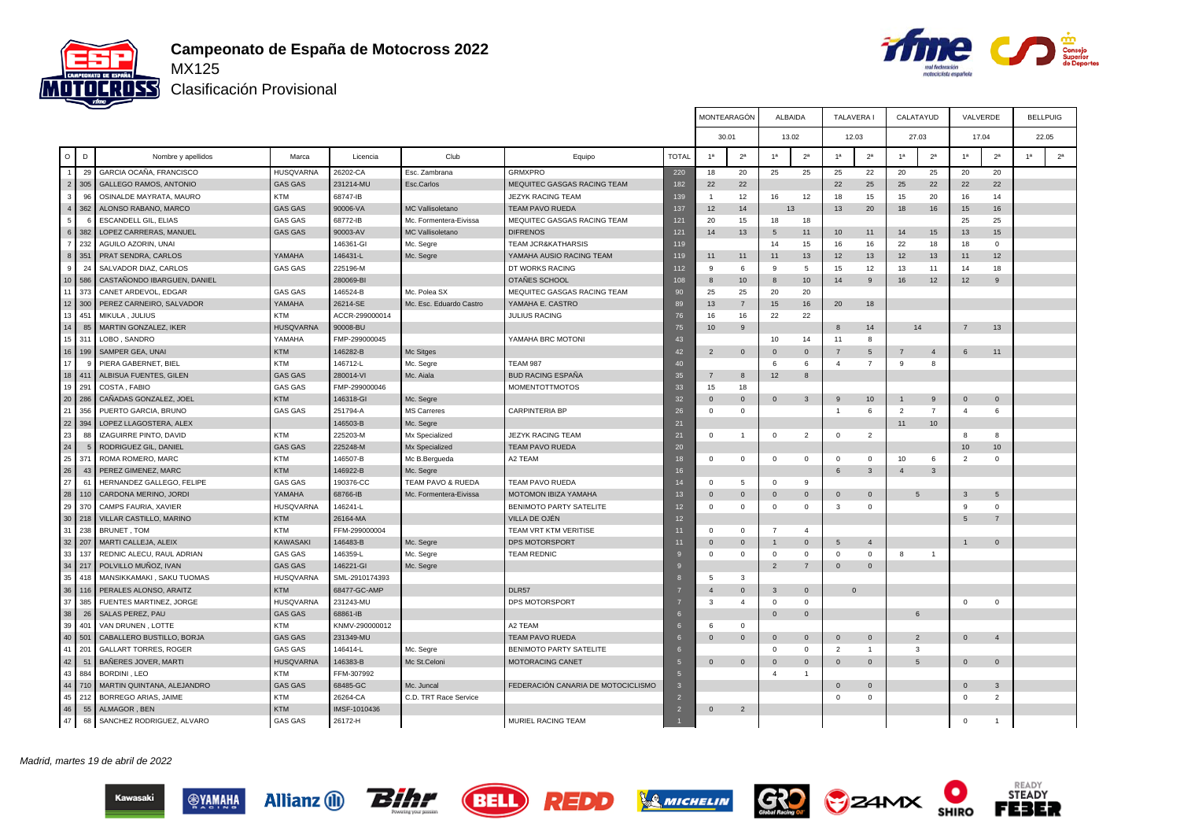



T

┰

Clasificación Provisional

|                 |                       |                               |                  |                |                         |                                    |                 |                | MONTEARAGON    | ALBAIDA                 |                | TALAVERA       |                         | CALATAYUD       |                | VALVERDE                |                |    | BELLPUIG       |
|-----------------|-----------------------|-------------------------------|------------------|----------------|-------------------------|------------------------------------|-----------------|----------------|----------------|-------------------------|----------------|----------------|-------------------------|-----------------|----------------|-------------------------|----------------|----|----------------|
|                 |                       |                               |                  |                |                         |                                    |                 |                | 30.01          |                         | 13.02          |                | 12.03                   | 27.03           |                | 17.04                   |                |    | 22.05          |
|                 |                       |                               |                  |                |                         |                                    |                 |                |                |                         |                |                |                         |                 |                |                         |                |    |                |
| $\circ$         | D                     | Nombre y apellidos            | Marca            | Licencia       | Club                    | Equipo                             | <b>TOTAI</b>    | 1a             | 2 <sup>a</sup> | 1a                      | 2 <sup>a</sup> | 1 <sup>a</sup> | 2 <sup>a</sup>          | 1a              | 2 <sup>a</sup> | 1a                      | 2 <sup>a</sup> | 1a | 2 <sup>a</sup> |
|                 | 29                    | GARCIA OCAÑA, FRANCISCO       | <b>HUSQVARNA</b> | 26202-CA       | Esc. Zambrana           | <b>GRMXPRO</b>                     | 220             | 18             | 20             | 25                      | 25             | 25             | 22                      | 20              | 25             | 20                      | 20             |    |                |
|                 | 2<br>305              | <b>GALLEGO RAMOS, ANTONIO</b> | <b>GAS GAS</b>   | 231214-MU      | Esc.Carlos              | MEQUITEC GASGAS RACING TEAM        | 182             | 22             | 22             |                         |                | 22             | 25                      | 25              | 22             | 22                      | 22             |    |                |
| $\mathbf{a}$    | 96                    | OSINALDE MAYRATA, MAURO       | KTM              | 68747-IB       |                         | <b>JEZYK RACING TEAM</b>           | 139             |                | 12             | 16                      | 12             | 18             | 15                      | 15              | 20             | 16                      | 14             |    |                |
|                 | $\overline{4}$<br>362 | ALONSO RABANO, MARCO          | <b>GAS GAS</b>   | 90006-VA       | MC Vallisoletano        | <b>TEAM PAVO RUEDA</b>             | 137             | 12             | 14             |                         | 13             | 13             | 20                      | 18              | 16             | 15                      | 16             |    |                |
| 5               |                       | <b>ESCANDELL GIL, ELIAS</b>   | <b>GAS GAS</b>   | 68772-IB       | Mc. Formentera-Eivissa  | MEQUITEC GASGAS RACING TEAM        | 121             | 20             | 15             | 18                      | 18             |                |                         |                 |                | 25                      | 25             |    |                |
|                 | $6 \mid$<br>382       | LOPEZ CARRERAS, MANUEL        | <b>GAS GAS</b>   | 90003-AV       | MC Vallisoletano        | <b>DIFRENOS</b>                    | 121             | 14             | 13             | 5                       | 11             | 10             | 11                      | 14              | 15             | 13                      | 15             |    |                |
|                 | 232<br>7 <sup>1</sup> | AGUILO AZORIN, UNAI           |                  | 146361-GI      | Mc. Segre               | TEAM JCR&KATHARSIS                 | 119             |                |                | 14                      | 15             | 16             | 16                      | 22              | 18             | 18                      | 0              |    |                |
|                 | 8 <sup>1</sup><br>351 | PRAT SENDRA, CARLOS           | YAMAHA           | 146431-L       | Mc. Segre               | YAMAHA AUSIO RACING TEAM           | 119             | 11             | 11             | 11                      | 13             | 12             | 13                      | 12              | 13             | 11                      | 12             |    |                |
| 9               | 24                    | SALVADOR DIAZ, CARLOS         | <b>GAS GAS</b>   | 225196-M       |                         | DT WORKS RACING                    | 112             | 9              | 6              | 9                       | 5              | 15             | 12                      | 13              | 11             | 14                      | 18             |    |                |
| 10 <sup>1</sup> | 586                   | CASTAÑONDO IBARGUEN, DANIEL   |                  | 280069-BI      |                         | OTAÑES SCHOOL                      | 108             | 8              | 10             | 8                       | 10             | 14             | 9                       | 16              | 12             | 12                      | $\mathbf{9}$   |    |                |
| 11              | 373                   | CANET ARDEVOL, EDGAR          | <b>GAS GAS</b>   | 146524-B       | Mc. Polea SX            | MEQUITEC GASGAS RACING TEAM        | 90              | 25             | 25             | 20                      | 20             |                |                         |                 |                |                         |                |    |                |
|                 | $12$ 300              | PEREZ CARNEIRO, SALVADOR      | YAMAHA           | 26214-SE       | Mc. Esc. Eduardo Castro | YAMAHA E. CASTRO                   | 89              | 13             | $\overline{7}$ | 15                      | 16             | 20             | 18                      |                 |                |                         |                |    |                |
| 13 <sup>1</sup> | 451                   | MIKULA, JULIUS                | <b>KTM</b>       | ACCR-299000014 |                         | <b>JULIUS RACING</b>               | 76              | 16             | 16             | 22                      | 22             |                |                         |                 |                |                         |                |    |                |
| 14              | 85                    | MARTIN GONZALEZ, IKER         | <b>HUSQVARNA</b> | 90008-BU       |                         |                                    | 75              | 10             | 9              |                         |                | $\mathbf{8}$   | 14                      |                 | 14             | $\overline{7}$          | 13             |    |                |
| 15 <sup>1</sup> | 311                   | LOBO, SANDRO                  | YAMAHA           | FMP-299000045  |                         | YAMAHA BRC MOTONI                  | 43              |                |                | 10                      | 14             | 11             | 8                       |                 |                |                         |                |    |                |
| 16              | 199                   | SAMPER GEA, UNAI              | <b>KTM</b>       | 146282-B       | Mc Sitges               |                                    | 42              | $\overline{2}$ | $\mathbf{0}$   | $\mathbf 0$             | $\mathbf 0$    |                | 5                       | $\overline{7}$  | $\overline{4}$ | 6                       | 11             |    |                |
| 17              |                       | PIERA GABERNET, BIEL          | <b>KTM</b>       | 146712-L       | Mc. Segre               | <b>TEAM 987</b>                    | 4 <sup>c</sup>  |                |                | 6                       | 6              | $\overline{4}$ | $\overline{7}$          | 9               | 8              |                         |                |    |                |
| 18              | 41 <sup>°</sup>       | ALBISUA FUENTES, GILEN        | <b>GAS GAS</b>   | 280014-VI      | Mc. Aiala               | <b>BUD RACING ESPAÑA</b>           | 35              | $\overline{7}$ | 8              | 12                      | 8              |                |                         |                 |                |                         |                |    |                |
| 19              | 291                   | COSTA, FABIO                  | <b>GAS GAS</b>   | FMP-299000046  |                         | <b>MOMENTOTTMOTOS</b>              | 33              | 15             | 18             |                         |                |                |                         |                 |                |                         |                |    |                |
| 20              | 286                   | CAÑADAS GONZALEZ, JOEL        | <b>KTM</b>       | 146318-GI      | Mc. Segre               |                                    | 32              | $\mathbf{0}$   | $\mathbf{0}$   | $\overline{0}$          | 3              | 9              | 10                      |                 | 9              | $\overline{0}$          | $\mathbf{0}$   |    |                |
| 21              | 356                   | PUERTO GARCIA, BRUNO          | <b>GAS GAS</b>   | 251794-A       | <b>MS Carreres</b>      | <b>CARPINTERIA BP</b>              | 26              | $\Omega$       | $\mathbf{0}$   |                         |                | $\overline{1}$ | 6                       | $\overline{2}$  | $\overline{7}$ | $\overline{4}$          | 6              |    |                |
| 22              | 394                   | LOPEZ LLAGOSTERA, ALEX        |                  | 146503-B       | Mc. Segre               |                                    | 21              |                |                |                         |                |                |                         | 11              | 10             |                         |                |    |                |
| 23              | 88                    | <b>IZAGUIRRE PINTO, DAVID</b> | <b>KTM</b>       | 225203-M       | Mx Specialized          | <b>JEZYK RACING TEAM</b>           | 21              | $^{\circ}$     | $\overline{1}$ | $\overline{\mathbf{0}}$ | $\overline{2}$ | $\mathbf{0}$   | 2                       |                 |                | 8                       | 8              |    |                |
| 24              |                       | RODRIGUEZ GIL, DANIEL         | <b>GAS GAS</b>   | 225248-M       | Mx Specialized          | <b>TEAM PAVO RUEDA</b>             | 20              |                |                |                         |                |                |                         |                 |                | 10                      | 10             |    |                |
| 25              | 371                   | ROMA ROMERO, MARC             | <b>KTM</b>       | 146507-B       | Mc B.Bergueda           | A2 TEAM                            | 18              | $\mathbf{0}$   | $\circ$        | $^{\circ}$              | $\circ$        | $\mathbf 0$    | $^{\circ}$              | 10              | 6              | $\overline{2}$          | 0              |    |                |
| 26              | 43                    | PEREZ GIMENEZ, MARC           | <b>KTM</b>       | 146922-B       | Mc. Segre               |                                    | 16              |                |                |                         |                | 6              | $\mathbf{3}$            | $\overline{4}$  | $\mathbf{3}$   |                         |                |    |                |
| 27              | 61                    | HERNANDEZ GALLEGO, FELIPE     | <b>GAS GAS</b>   | 190376-CC      | TEAM PAVO & RUEDA       | TEAM PAVO RUEDA                    | $\overline{14}$ | $\Omega$       | 5              | $\mathbf 0$             | 9              |                |                         |                 |                |                         |                |    |                |
| 28              | 110                   | CARDONA MERINO, JORDI         | YAMAHA           | 68766-IB       | Mc. Formentera-Eivissa  | MOTOMON IBIZA YAMAHA               | 13              | $\Omega$       | $\mathbf 0$    | $\mathbf{0}$            | $\mathbf{0}$   | $\Omega$       | $\overline{\mathbf{0}}$ | 5               |                | 3                       | 5              |    |                |
| 29              | 370                   | CAMPS FAURIA, XAVIER          | <b>HUSQVARNA</b> | 146241-L       |                         | BENIMOTO PARTY SATELITE            | 12              | $\mathbf 0$    | $\circ$        | $\mathbf 0$             | $\circ$        | 3              | $\mathbf 0$             |                 |                | 9                       | $\mathbf 0$    |    |                |
| 30 <sup>1</sup> | 218                   | VILLAR CASTILLO, MARINO       | <b>KTM</b>       | 26164-MA       |                         | VILLA DE OJÉN                      | 12              |                |                |                         |                |                |                         |                 |                | 5                       | $\overline{7}$ |    |                |
| 31              | 238                   | BRUNET, TOM                   | <b>KTM</b>       | FFM-299000004  |                         | TEAM VRT KTM VERITISE              | 11              | $\Omega$       | $\mathbf 0$    | $\overline{7}$          | $\overline{4}$ |                |                         |                 |                |                         |                |    |                |
|                 | 32 207                | MARTI CALLEJA, ALEIX          | <b>KAWASAKI</b>  | 146483-B       | Mc. Segre               | DPS MOTORSPORT                     | 11              | $\mathbf{0}$   | $\mathbf 0$    | 1                       | $\mathbf{0}$   | 5              | $\overline{4}$          |                 |                | $\mathbf{1}$            | $\mathbf{0}$   |    |                |
| 33              | 137                   | REDNIC ALECU, RAUL ADRIAN     | <b>GAS GAS</b>   | 146359-L       | Mc. Segre               | <b>TEAM REDNIC</b>                 |                 | $\Omega$       | $\mathbf{0}$   | $\overline{0}$          | $\Omega$       | $\Omega$       | $\Omega$                | 8               | $\overline{1}$ |                         |                |    |                |
| 34              | 217                   | POLVILLO MUÑOZ, IVAN          | <b>GAS GAS</b>   | 146221-GI      | Mc. Segre               |                                    |                 |                |                | $\overline{2}$          | $\overline{7}$ | $\overline{0}$ | $\overline{0}$          |                 |                |                         |                |    |                |
| 35              | 418                   | MANSIKKAMAKI, SAKU TUOMAS     | <b>HUSQVARNA</b> | SML-2910174393 |                         |                                    |                 | 5              | $\mathbf{3}$   |                         |                |                |                         |                 |                |                         |                |    |                |
| 36              | 116                   | PERALES ALONSO, ARAITZ        | <b>KTM</b>       | 68477-GC-AMP   |                         | DLR57                              |                 | $\overline{4}$ | $\mathbf{0}$   | 3                       | $\mathbf{0}$   |                | $\mathbf{0}$            |                 |                |                         |                |    |                |
| 37              | 385                   | FUENTES MARTINEZ, JORGE       | HUSQVARNA        | 231243-MU      |                         | DPS MOTORSPORT                     |                 | 3              | $\overline{4}$ | $\Omega$                | $\Omega$       |                |                         |                 |                | $\Omega$                | $\Omega$       |    |                |
| 38              | 26                    | SALAS PEREZ, PAU              | <b>GAS GAS</b>   | 68861-IB       |                         |                                    |                 |                |                | $\mathbf{0}$            | $\mathbf 0$    |                |                         | 6               |                |                         |                |    |                |
| 39              | 401                   | VAN DRUNEN , LOTTE            | KTM              | KNMV-290000012 |                         | A2 TEAM                            |                 | -6             | $\mathbf{0}$   |                         |                |                |                         |                 |                |                         |                |    |                |
| 40 <sup>1</sup> | 501                   | CABALLERO BUSTILLO, BORJA     | <b>GAS GAS</b>   | 231349-MU      |                         | <b>TEAM PAVO RUEDA</b>             |                 | $\Omega$       | $\mathbf 0$    | $\overline{0}$          | $\mathbf{0}$   | $\Omega$       | $\overline{\mathbf{0}}$ | $\overline{2}$  |                | $\overline{0}$          | $\overline{4}$ |    |                |
| 41              | 201                   | <b>GALLART TORRES, ROGER</b>  | <b>GAS GAS</b>   | 146414-L       | Mc. Segre               | BENIMOTO PARTY SATELITE            |                 |                |                | $\Omega$                | $\mathbf 0$    | $\overline{2}$ | $\overline{1}$          | 3               |                |                         |                |    |                |
| 42              | 51                    | BAÑERES JOVER, MARTI          | <b>HUSQVARNA</b> | 146383-B       | Mc St.Celoni            | <b>MOTORACING CANET</b>            |                 | $\Omega$       | $\mathbf 0$    | $\overline{0}$          | $\mathbf{0}$   | $\Omega$       | $\overline{0}$          | $5\overline{5}$ |                | $\Omega$                | $\mathbf{0}$   |    |                |
| 43              | 884                   | BORDINI, LEO                  | <b>KTM</b>       | FFM-307992     |                         |                                    |                 |                |                | $\overline{4}$          | $\overline{1}$ |                |                         |                 |                |                         |                |    |                |
| 44              | 710                   | MARTIN QUINTANA, ALEJANDRO    | <b>GAS GAS</b>   | 68485-GC       | Mc. Juncal              | FEDERACIÓN CANARIA DE MOTOCICLISMO |                 |                |                |                         |                | $\Omega$       | $\overline{\mathbf{0}}$ |                 |                | $\overline{0}$          | $\mathbf{3}$   |    |                |
| 45              | 212                   | BORREGO ARIAS, JAIME          | <b>KTM</b>       | 26264-CA       | C.D. TRT Race Service   |                                    |                 |                |                |                         |                | $\Omega$       | $\circ$                 |                 |                | $\overline{\mathbf{0}}$ | $\overline{2}$ |    |                |
| 46              | 55                    | ALMAGOR, BEN                  | <b>KTM</b>       | IMSF-1010436   |                         |                                    | $\overline{2}$  | $\Omega$       | $\overline{2}$ |                         |                |                |                         |                 |                |                         |                |    |                |
| 47              | 68                    | SANCHEZ RODRIGUEZ, ALVARO     | <b>GAS GAS</b>   | 26172-H        |                         | MURIEL RACING TEAM                 |                 |                |                |                         |                |                |                         |                 |                | $\Omega$                |                |    |                |
|                 |                       |                               |                  |                |                         |                                    |                 |                |                |                         |                |                |                         |                 |                |                         |                |    |                |

#### Madrid, martes 19 de abril de 2022









 $\Gamma$ 

┰

┱





READY<br>STEADY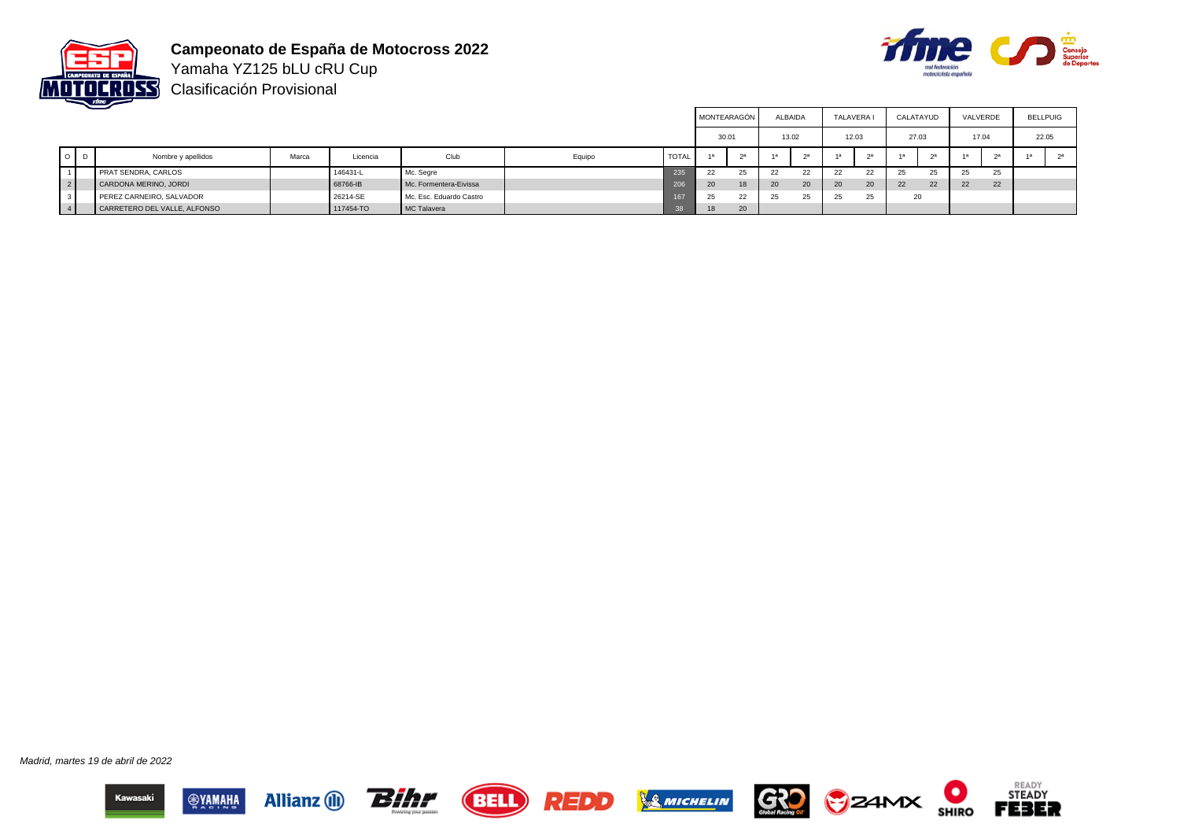

**Campeonato de España de Motocross 2022** Yamaha YZ125 bLU cRU Cup



Clasificación Provisional

|     |                              |       |           |                         |        |              |       | MONTEARAGÓN    |    | ALBAIDA | TALAVERA |       | CALATAYUD |                | VALVERDE |    | <b>BELLPUIG</b> |       |
|-----|------------------------------|-------|-----------|-------------------------|--------|--------------|-------|----------------|----|---------|----------|-------|-----------|----------------|----------|----|-----------------|-------|
|     |                              |       |           |                         |        |              | 30.01 |                |    | 13.02   |          | 12.03 |           | 27.03          | 17.04    |    |                 | 22.05 |
| O D | Nombre y apellidos           | Marca | Licencia  | Club                    | Equipo | <b>TOTAL</b> | 4a    | 2 <sup>a</sup> |    | 2a      | 1a       | na.   |           | 2 <sup>a</sup> |          |    | -1а             |       |
|     | PRAT SENDRA, CARLOS          |       | 146431-L  | Mc. Segre               |        | 235          | 22    | 25             | 22 | 22      | 22       | 22    | $\sim$    | 25             | 25       | 25 |                 |       |
|     | CARDONA MERINO, JORDI        |       | 68766-IB  | Mc. Formentera-Eivissa  |        | 206          | 20    | 18.            | 20 | 20      | 20       | 20    | 22        | 22             | 22       | 22 |                 |       |
|     | PEREZ CARNEIRO, SALVADOR     |       | 26214-SE  | Mc. Esc. Eduardo Castro |        | 167          | 25    | 22             | 25 | 25      | 25       | 25    |           | 20             |          |    |                 |       |
|     | CARRETERO DEL VALLE, ALFONSO |       | 117454-TO | MC Talavera             |        |              |       | 20             |    |         |          |       |           |                |          |    |                 |       |

Madrid, martes 19 de abril de 2022















О

**SHIRO**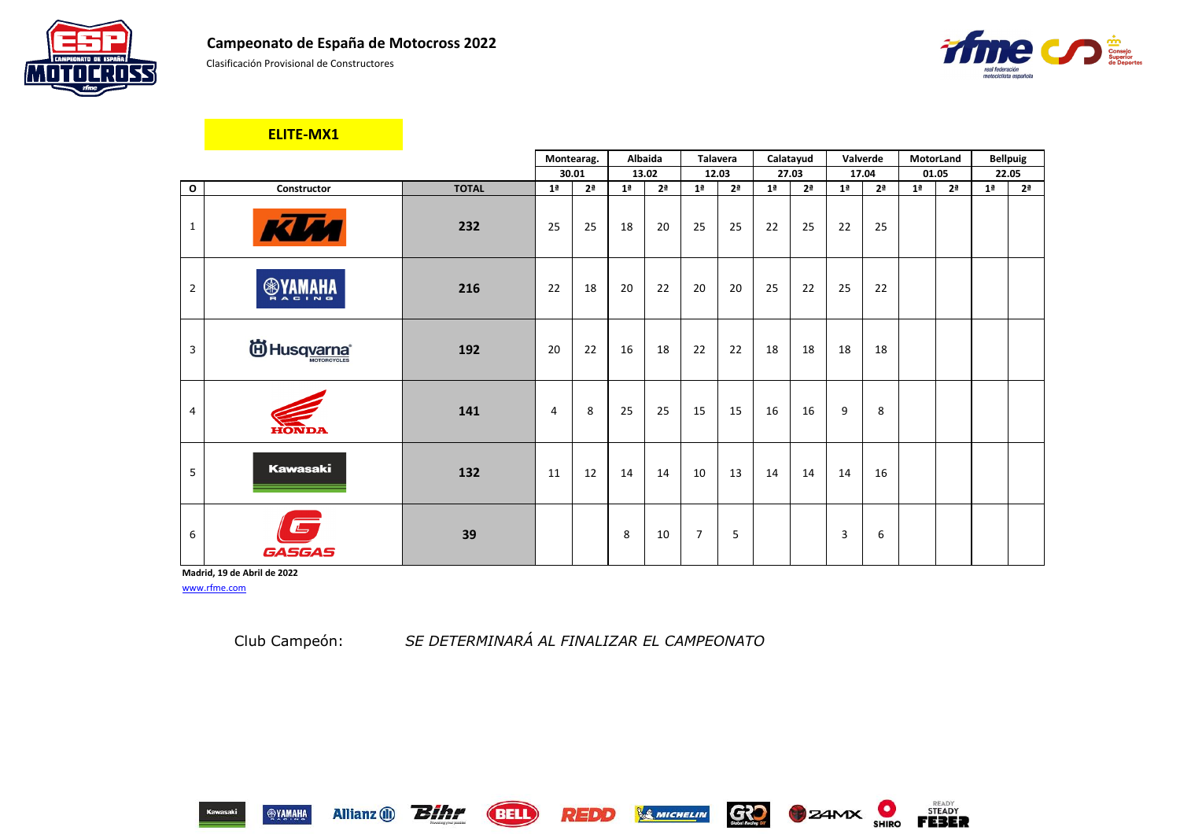

Clasificación Provisional de Constructores

|                |                        |              |                | Montearag.     | Albaida        |                | <b>Talavera</b> |                |                | Calatayud      | Valverde       |                | MotorLand      |                |                | <b>Bellpuig</b> |
|----------------|------------------------|--------------|----------------|----------------|----------------|----------------|-----------------|----------------|----------------|----------------|----------------|----------------|----------------|----------------|----------------|-----------------|
|                |                        |              |                | 30.01          |                | 13.02          |                 | 12.03          | 27.03          |                |                | 17.04          | 01.05          |                |                | 22.05           |
| $\mathbf{o}$   | Constructor            | <b>TOTAL</b> | 1 <sup>a</sup> | 2 <sup>a</sup> | 1 <sup>a</sup> | 2 <sup>a</sup> | 1 <sup>a</sup>  | 2 <sup>a</sup> | 1 <sup>a</sup> | 2 <sup>a</sup> | 1 <sup>a</sup> | 2 <sup>a</sup> | 1 <sup>a</sup> | 2 <sup>a</sup> | 1 <sup>a</sup> | 2 <sup>a</sup>  |
| $\mathbf{1}$   | KUM                    | 232          | 25             | 25             | 18             | 20             | 25              | 25             | 22             | 25             | 22             | 25             |                |                |                |                 |
| $\overline{2}$ | <b>ANAMAHA</b>         | 216          | 22             | 18             | 20             | 22             | 20              | 20             | 25             | 22             | 25             | 22             |                |                |                |                 |
| 3              | id Husq <u>varna</u> * | 192          | 20             | 22             | 16             | 18             | 22              | 22             | 18             | 18             | 18             | 18             |                |                |                |                 |
| $\overline{4}$ | <b>HONDA</b>           | 141          | 4              | 8              | 25             | 25             | 15              | 15             | 16             | 16             | 9              | 8              |                |                |                |                 |
| 5              | <b>Kawasaki</b>        | 132          | 11             | 12             | 14             | 14             | 10              | 13             | 14             | 14             | 14             | 16             |                |                |                |                 |
| 6              | GASGAS                 | 39           |                |                | 8              | 10             | $\overline{7}$  | 5              |                |                | 3              | 6              |                |                |                |                 |

**Madrid, 19 de Abril de 2022** [www.rfme.com](http://www.rfme.com/)

Allianz (i) **Bihr** 

Club Campeón: *SE DETERMINARÁ AL FINALIZAR EL CAMPEONATO*





**BELL** 









**ELITE-MX1**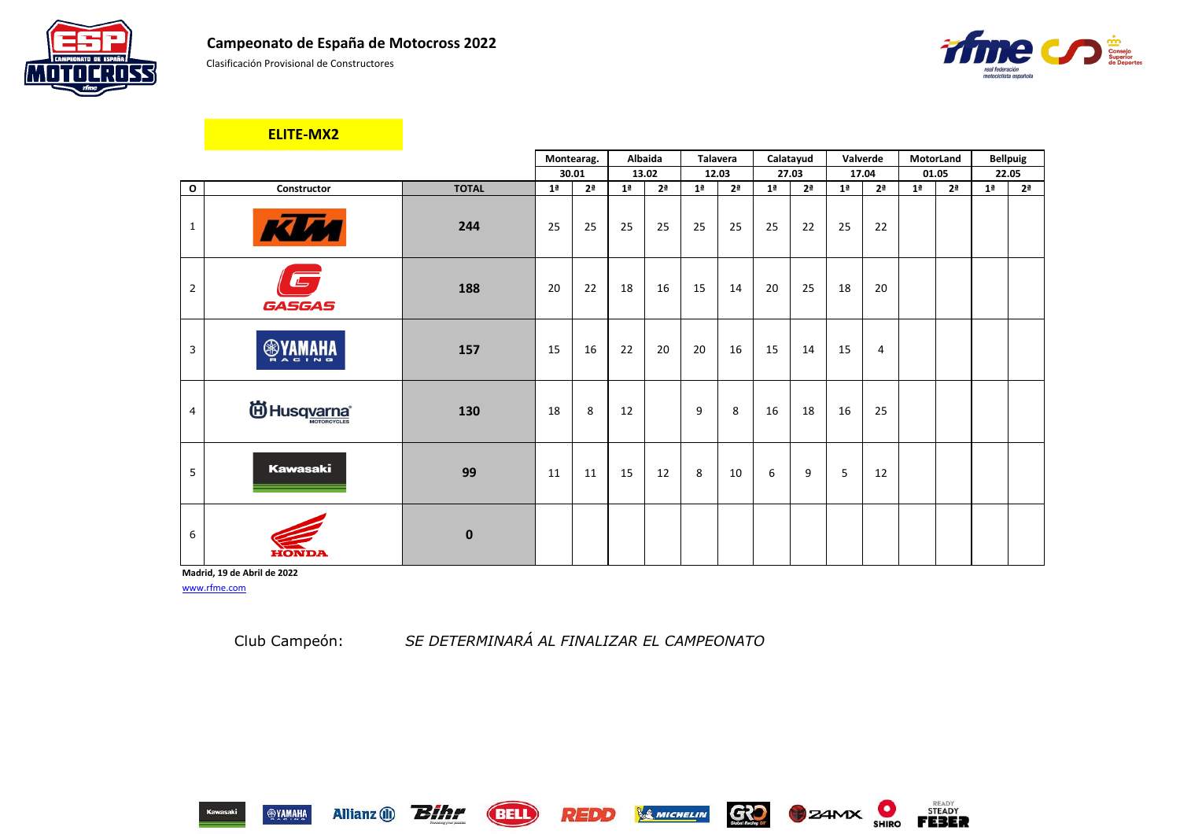

Clasificación Provisional de Constructores

|                |                           |              | Montearag.     |                | <b>Albaida</b> |                | <b>Talavera</b> |                | Calatayud      |                |                | Valverde       | MotorLand      |                |                | <b>Bellpuig</b> |
|----------------|---------------------------|--------------|----------------|----------------|----------------|----------------|-----------------|----------------|----------------|----------------|----------------|----------------|----------------|----------------|----------------|-----------------|
|                |                           |              |                | 30.01          | 13.02          |                |                 | 12.03          | 27.03          |                |                | 17.04          | 01.05          |                | 22.05          |                 |
| $\mathbf{o}$   | Constructor               | <b>TOTAL</b> | 1 <sup>a</sup> | 2 <sup>a</sup> | 1 <sup>a</sup> | 2 <sup>a</sup> | 1 <sup>a</sup>  | 2 <sup>a</sup> | 1 <sup>a</sup> | 2 <sup>a</sup> | 1 <sup>a</sup> | 2 <sup>a</sup> | 1 <sup>a</sup> | 2 <sup>a</sup> | 1 <sup>a</sup> | 2 <sup>a</sup>  |
| $\mathbf{1}$   | KIM                       | 244          | 25             | 25             | 25             | 25             | 25              | 25             | 25             | 22             | 25             | 22             |                |                |                |                 |
| $\overline{2}$ | $\qquad \qquad$<br>GASGAS | 188          | 20             | 22             | 18             | 16             | 15              | 14             | 20             | 25             | 18             | 20             |                |                |                |                 |
| $\mathsf{3}$   | <b>OSYAMAHA</b>           | 157          | 15             | 16             | 22             | 20             | 20              | 16             | 15             | 14             | 15             | 4              |                |                |                |                 |
| $\overline{4}$ | id Husq <u>varna</u> ®    | 130          | 18             | 8              | 12             |                | 9               | 8              | 16             | 18             | 16             | 25             |                |                |                |                 |
| 5              | <b>Kawasaki</b>           | 99           | 11             | 11             | 15             | 12             | 8               | 10             | 6              | 9              | 5              | 12             |                |                |                |                 |
| 6              | EONDA                     | $\mathbf 0$  |                |                |                |                |                 |                |                |                |                |                |                |                |                |                 |

**Madrid, 19 de Abril de 2022** [www.rfme.com](http://www.rfme.com/)

Allianz (i) **Bihr** 

### **ELITE-MX2**

Club Campeón: *SE DETERMINARÁ AL FINALIZAR EL CAMPEONATO*

REDD

**BELL** 









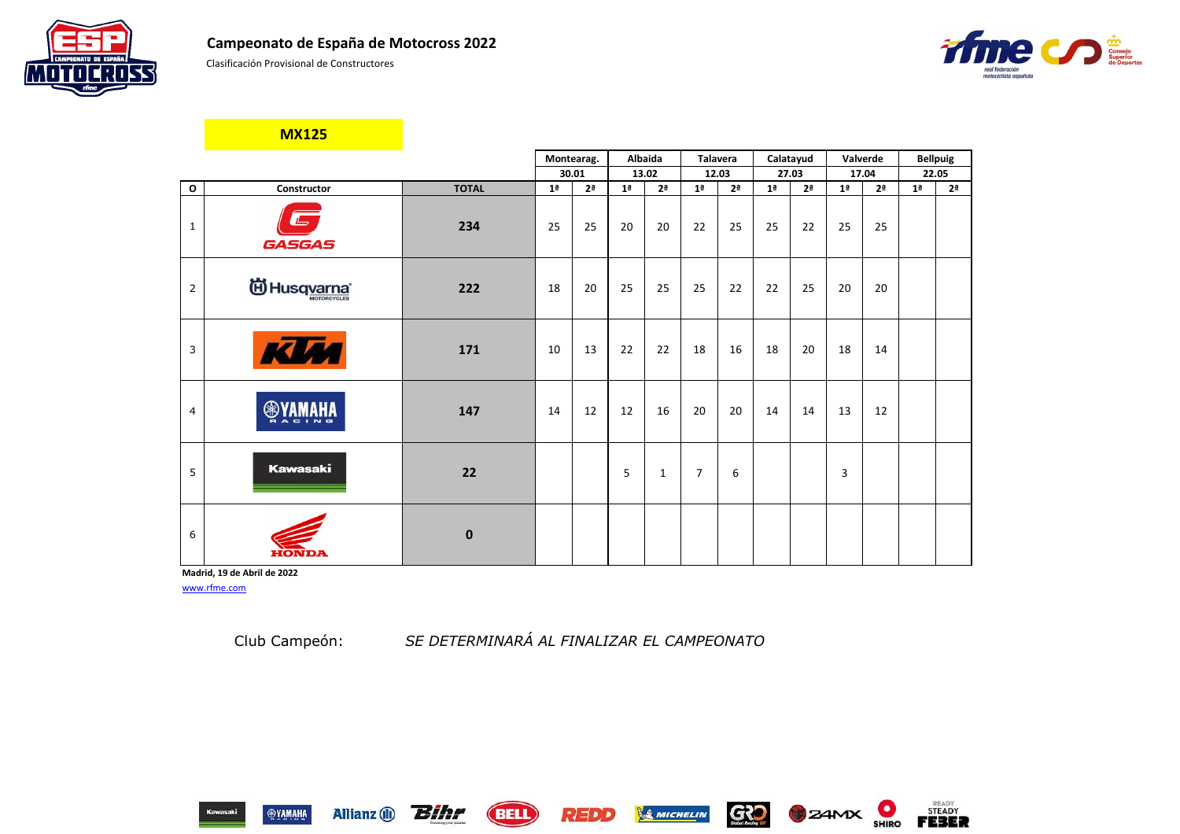Clasificación Provisional de Constructores

|                |                 |                  |                | Montearag.     | Albaida        |                | <b>Talavera</b> |                |                | Calatayud      | Valverde       |                | <b>Bellpuig</b> |                |
|----------------|-----------------|------------------|----------------|----------------|----------------|----------------|-----------------|----------------|----------------|----------------|----------------|----------------|-----------------|----------------|
|                |                 |                  |                | 30.01          |                | 13.02          | 12.03           |                |                | 27.03          |                | 17.04          |                 | 22.05          |
| $\mathbf{o}$   | Constructor     | <b>TOTAL</b>     | 1 <sup>a</sup> | 2 <sup>a</sup> | 1 <sup>a</sup> | 2 <sup>a</sup> | 1 <sup>a</sup>  | 2 <sup>a</sup> | 1 <sup>a</sup> | 2 <sup>a</sup> | 1 <sup>a</sup> | 2 <sup>a</sup> | 1 <sup>a</sup>  | 2 <sup>a</sup> |
| $\mathbf{1}$   | GASGAS          | 234              | 25             | 25             | 20             | 20             | 22              | 25             | 25             | 22             | 25             | 25             |                 |                |
| $\overline{2}$ | id Husqvarna®   | 222              | 18             | 20             | 25             | 25             | 25              | 22             | 22             | 25             | 20             | 20             |                 |                |
| $\mathfrak{Z}$ | <b>KLM</b>      | 171              | 10             | 13             | 22             | 22             | 18              | 16             | 18             | 20             | 18             | 14             |                 |                |
| 4              | <b>ANAMAHA</b>  | 147              | 14             | 12             | 12             | 16             | 20              | 20             | 14             | 14             | 13             | 12             |                 |                |
| 5              | <b>Kawasaki</b> | 22               |                |                | 5              | $\mathbf{1}$   | $\overline{7}$  | 6              |                |                | 3              |                |                 |                |
| 6              |                 | $\boldsymbol{0}$ |                |                |                |                |                 |                |                |                |                |                |                 |                |

**Madrid, 19 de Abril de 2022** [www.rfme.com](http://www.rfme.com/)

Allianz (i) **Bihr** 

**MX125**

Club Campeón: *SE DETERMINARÁ AL FINALIZAR EL CAMPEONATO*

REDD

**BELL** 







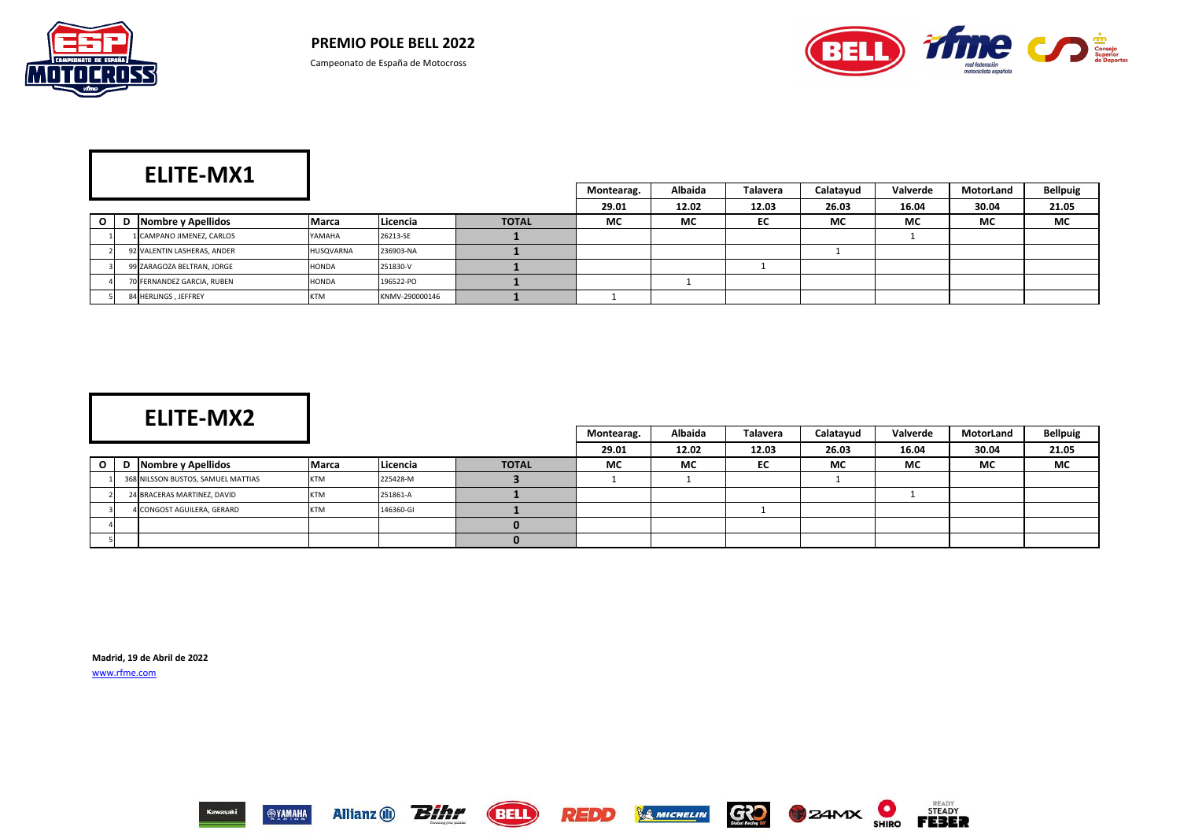



|          | ___                         |            |                  |              | Montearag. | <b>Albaida</b> | <b>Talavera</b> | Calatayud | Valverde | MotorLand | <b>Bellpuig</b> |
|----------|-----------------------------|------------|------------------|--------------|------------|----------------|-----------------|-----------|----------|-----------|-----------------|
|          |                             |            |                  |              | 29.01      | 12.02          | 12.03           | 26.03     | 16.04    | 30.04     | 21.05           |
| $\Omega$ | D Nombre y Apellidos        | Marca      | <b>ILicencia</b> | <b>TOTAL</b> | <b>MC</b>  | <b>MC</b>      | EC              | <b>MC</b> | MC       | <b>MC</b> | <b>MC</b>       |
|          | 1 CAMPANO JIMENEZ, CARLOS   | YAMAHA     | 26213-SE         |              |            |                |                 |           |          |           |                 |
|          | 92 VALENTIN LASHERAS, ANDER | HUSQVARNA  | 236903-NA        |              |            |                |                 |           |          |           |                 |
|          | 99 ZARAGOZA BELTRAN, JORGE  | HONDA      | 251830-V         |              |            |                |                 |           |          |           |                 |
|          | 70 FERNANDEZ GARCIA, RUBEN  | HONDA      | 196522-PO        |              |            |                |                 |           |          |           |                 |
|          | 84 HERLINGS, JEFFREY        | <b>KTM</b> | KNMV-290000146   |              |            |                |                 |           |          |           |                 |

|    | -----------                        |              |           |              | Montearag. | Albaida   | Talavera | Calatayud | Valverde  | MotorLand | <b>Bellpuig</b> |
|----|------------------------------------|--------------|-----------|--------------|------------|-----------|----------|-----------|-----------|-----------|-----------------|
|    |                                    |              |           |              | 29.01      | 12.02     | 12.03    | 26.03     | 16.04     | 30.04     | 21.05           |
| ი. | Nombre y Apellidos                 | <b>Marca</b> | Licencia  | <b>TOTAL</b> | <b>MC</b>  | <b>MC</b> | EC       | <b>MC</b> | <b>MC</b> | <b>MC</b> | <b>MC</b>       |
|    | 368 NILSSON BUSTOS, SAMUEL MATTIAS | <b>KTM</b>   | 225428-M  |              |            |           |          |           |           |           |                 |
|    | 24 BRACERAS MARTINEZ, DAVID        | <b>KTM</b>   | 251861-A  |              |            |           |          |           |           |           |                 |
|    | 4 CONGOST AGUILERA, GERARD         | <b>KTM</b>   | 146360-GI |              |            |           |          |           |           |           |                 |
|    |                                    |              |           |              |            |           |          |           |           |           |                 |
|    |                                    |              |           |              |            |           |          |           |           |           |                 |

**Madrid, 19 de Abril de 2022** [www.rfme.com](http://www.rfme.com/)

















# **ELITE-MX2**

# **ELITE-MX1**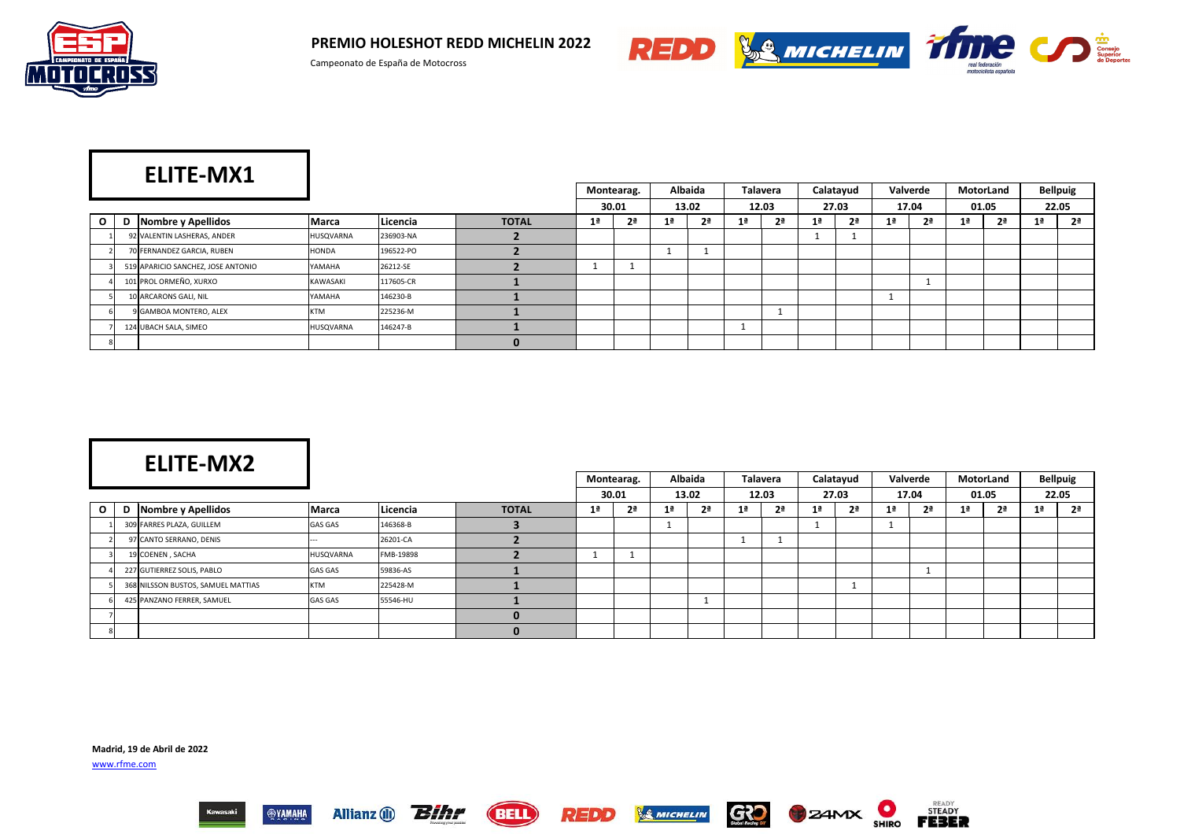

**PREMIO HOLESHOT REDD MICHELIN 2022**



Allianz (i) **Bihr** 

**SYAMAHA** 

**(BELL)** 



**GRO** 

**SMICHELIN** 

|         |                                    |              |           |              | Montearag.     | <b>Albaida</b> |    | <b>Talavera</b> |                | Calatayud |    | Valverde       |                | MotorLand      |                | <b>Bellpuig</b> |
|---------|------------------------------------|--------------|-----------|--------------|----------------|----------------|----|-----------------|----------------|-----------|----|----------------|----------------|----------------|----------------|-----------------|
|         |                                    |              |           |              | 30.01          | 13.02          |    | 12.03           |                | 27.03     |    | 17.04          |                | 01.05          |                | 22.05           |
| $\circ$ | D Nombre y Apellidos               | <b>Marca</b> | Licencia  | <b>TOTAL</b> | 2 <sup>a</sup> | 2 <sup>a</sup> | 1ª | 2 <sup>a</sup>  | 1 <sup>a</sup> | 2ª        | 1ª | 2 <sup>a</sup> | 1 <sup>a</sup> | 2 <sup>a</sup> | 1 <sup>a</sup> | 2 <sup>a</sup>  |
|         | 92 VALENTIN LASHERAS, ANDER        | HUSQVARNA    | 236903-NA |              |                |                |    |                 |                |           |    |                |                |                |                |                 |
|         | 70 FERNANDEZ GARCIA, RUBEN         | HONDA        | 196522-PO |              |                |                |    |                 |                |           |    |                |                |                |                |                 |
|         | 519 APARICIO SANCHEZ, JOSE ANTONIO | YAMAHA       | 26212-SE  |              | . .            |                |    |                 |                |           |    |                |                |                |                |                 |
|         | 101 PROL ORMEÑO, XURXO             | KAWASAKI     | 117605-CR |              |                |                |    |                 |                |           |    |                |                |                |                |                 |
|         | 10 ARCARONS GALI, NIL              | YAMAHA       | 146230-B  |              |                |                |    |                 |                |           |    |                |                |                |                |                 |
|         | 9 GAMBOA MONTERO, ALEX             | <b>KTM</b>   | 225236-M  |              |                |                |    |                 |                |           |    |                |                |                |                |                 |
|         | 124 UBACH SALA, SIMEO              | HUSQVARNA    | 146247-B  |              |                |                |    |                 |                |           |    |                |                |                |                |                 |
|         |                                    |              |           |              |                |                |    |                 |                |           |    |                |                |                |                |                 |

|              |   | ___                                |                |           |              |    | Montearag.     |                | Albaida        |                | <b>Talavera</b> |                | Calatayud      |    | Valverde       |                | MotorLand      |    | <b>Bellpuig</b> |
|--------------|---|------------------------------------|----------------|-----------|--------------|----|----------------|----------------|----------------|----------------|-----------------|----------------|----------------|----|----------------|----------------|----------------|----|-----------------|
|              |   |                                    |                |           |              |    | 30.01          |                | 13.02          |                | 12.03           |                | 27.03          |    | 17.04          |                | 01.05          |    | 22.05           |
| $\mathbf{O}$ | D | Nombre y Apellidos                 | <b>Marca</b>   | Licencia  | <b>TOTAL</b> | 1ª | 2 <sup>a</sup> | 1 <sup>a</sup> | 2 <sup>a</sup> | 1 <sup>a</sup> | 2 <sup>a</sup>  | 1 <sup>a</sup> | 2 <sup>a</sup> | 1ª | 2 <sup>a</sup> | 1 <sup>a</sup> | 2 <sup>a</sup> | 1ª | 2 <sup>a</sup>  |
|              |   | 309 FARRES PLAZA, GUILLEM          | <b>GAS GAS</b> | 146368-B  |              |    |                |                |                |                |                 |                |                |    |                |                |                |    |                 |
|              |   | 97 CANTO SERRANO, DENIS            |                | 26201-CA  |              |    |                |                |                |                |                 |                |                |    |                |                |                |    |                 |
|              |   | 19 COENEN, SACHA                   | HUSQVARNA      | FMB-19898 |              |    |                |                |                |                |                 |                |                |    |                |                |                |    |                 |
|              |   | 227 GUTIERREZ SOLIS, PABLO         | <b>GAS GAS</b> | 59836-AS  |              |    |                |                |                |                |                 |                |                |    |                |                |                |    |                 |
|              |   | 368 NILSSON BUSTOS, SAMUEL MATTIAS | <b>KTM</b>     | 225428-M  |              |    |                |                |                |                |                 |                |                |    |                |                |                |    |                 |
|              |   | 425 PANZANO FERRER, SAMUEL         | <b>GAS GAS</b> | 55546-HU  |              |    |                |                |                |                |                 |                |                |    |                |                |                |    |                 |
|              |   |                                    |                |           |              |    |                |                |                |                |                 |                |                |    |                |                |                |    |                 |
|              |   |                                    |                |           |              |    |                |                |                |                |                 |                |                |    |                |                |                |    |                 |

REDD

**Madrid, 19 de Abril de 2022** [www.rfme.com](http://www.rfme.com/)





**B**Z4MX

# **ELITE-MX1**

## **ELITE-MX2**